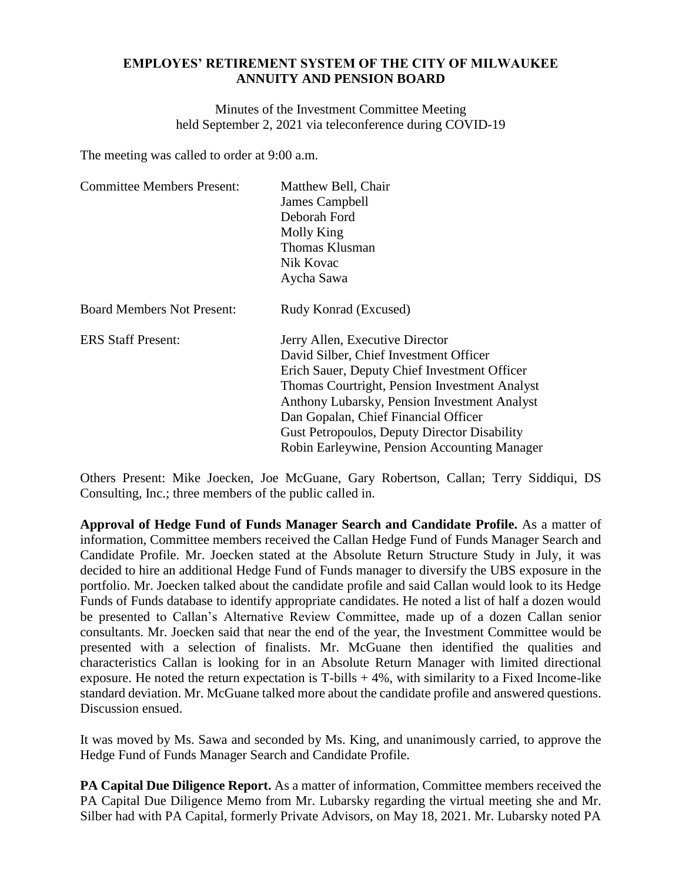## **EMPLOYES' RETIREMENT SYSTEM OF THE CITY OF MILWAUKEE ANNUITY AND PENSION BOARD**

Minutes of the Investment Committee Meeting held September 2, 2021 via teleconference during COVID-19

The meeting was called to order at 9:00 a.m.

| <b>Committee Members Present:</b> | Matthew Bell, Chair                                 |
|-----------------------------------|-----------------------------------------------------|
|                                   | James Campbell                                      |
|                                   | Deborah Ford                                        |
|                                   | Molly King                                          |
|                                   | Thomas Klusman                                      |
|                                   | Nik Kovac                                           |
|                                   | Aycha Sawa                                          |
| <b>Board Members Not Present:</b> | Rudy Konrad (Excused)                               |
| <b>ERS Staff Present:</b>         | Jerry Allen, Executive Director                     |
|                                   | David Silber, Chief Investment Officer              |
|                                   | Erich Sauer, Deputy Chief Investment Officer        |
|                                   | Thomas Courtright, Pension Investment Analyst       |
|                                   | Anthony Lubarsky, Pension Investment Analyst        |
|                                   | Dan Gopalan, Chief Financial Officer                |
|                                   | <b>Gust Petropoulos, Deputy Director Disability</b> |
|                                   | Robin Earleywine, Pension Accounting Manager        |

Others Present: Mike Joecken, Joe McGuane, Gary Robertson, Callan; Terry Siddiqui, DS Consulting, Inc.; three members of the public called in.

**Approval of Hedge Fund of Funds Manager Search and Candidate Profile.** As a matter of information, Committee members received the Callan Hedge Fund of Funds Manager Search and Candidate Profile. Mr. Joecken stated at the Absolute Return Structure Study in July, it was decided to hire an additional Hedge Fund of Funds manager to diversify the UBS exposure in the portfolio. Mr. Joecken talked about the candidate profile and said Callan would look to its Hedge Funds of Funds database to identify appropriate candidates. He noted a list of half a dozen would be presented to Callan's Alternative Review Committee, made up of a dozen Callan senior consultants. Mr. Joecken said that near the end of the year, the Investment Committee would be presented with a selection of finalists. Mr. McGuane then identified the qualities and characteristics Callan is looking for in an Absolute Return Manager with limited directional exposure. He noted the return expectation is  $T$ -bills  $+ 4\%$ , with similarity to a Fixed Income-like standard deviation. Mr. McGuane talked more about the candidate profile and answered questions. Discussion ensued.

It was moved by Ms. Sawa and seconded by Ms. King, and unanimously carried, to approve the Hedge Fund of Funds Manager Search and Candidate Profile.

**PA Capital Due Diligence Report.** As a matter of information, Committee members received the PA Capital Due Diligence Memo from Mr. Lubarsky regarding the virtual meeting she and Mr. Silber had with PA Capital, formerly Private Advisors, on May 18, 2021. Mr. Lubarsky noted PA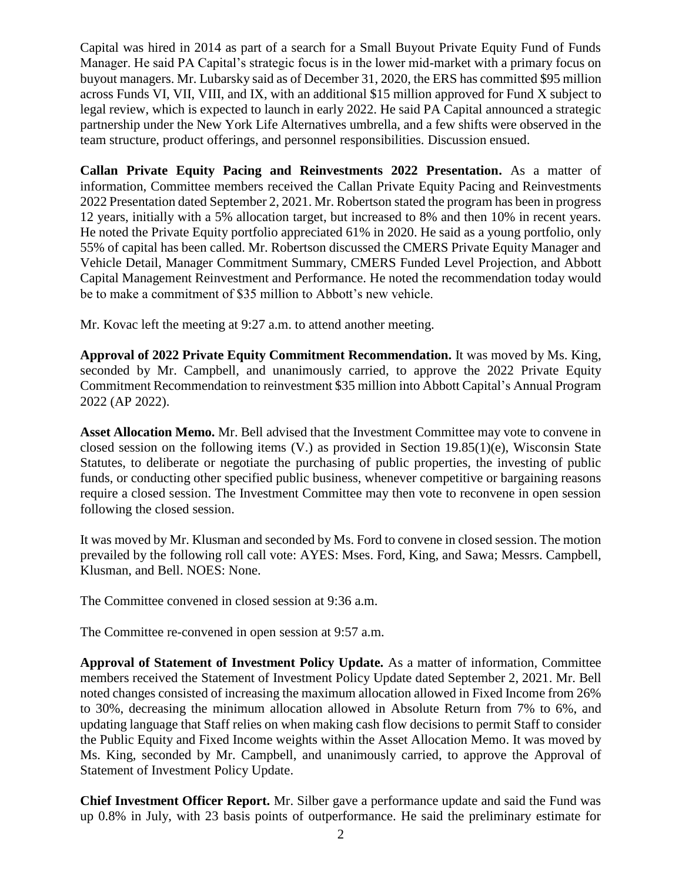Capital was hired in 2014 as part of a search for a Small Buyout Private Equity Fund of Funds Manager. He said PA Capital's strategic focus is in the lower mid-market with a primary focus on buyout managers. Mr. Lubarsky said as of December 31, 2020, the ERS has committed \$95 million across Funds VI, VII, VIII, and IX, with an additional \$15 million approved for Fund X subject to legal review, which is expected to launch in early 2022. He said PA Capital announced a strategic partnership under the New York Life Alternatives umbrella, and a few shifts were observed in the team structure, product offerings, and personnel responsibilities. Discussion ensued.

**Callan Private Equity Pacing and Reinvestments 2022 Presentation.** As a matter of information, Committee members received the Callan Private Equity Pacing and Reinvestments 2022 Presentation dated September 2, 2021. Mr. Robertson stated the program has been in progress 12 years, initially with a 5% allocation target, but increased to 8% and then 10% in recent years. He noted the Private Equity portfolio appreciated 61% in 2020. He said as a young portfolio, only 55% of capital has been called. Mr. Robertson discussed the CMERS Private Equity Manager and Vehicle Detail, Manager Commitment Summary, CMERS Funded Level Projection, and Abbott Capital Management Reinvestment and Performance. He noted the recommendation today would be to make a commitment of \$35 million to Abbott's new vehicle.

Mr. Kovac left the meeting at 9:27 a.m. to attend another meeting.

**Approval of 2022 Private Equity Commitment Recommendation.** It was moved by Ms. King, seconded by Mr. Campbell, and unanimously carried, to approve the 2022 Private Equity Commitment Recommendation to reinvestment \$35 million into Abbott Capital's Annual Program 2022 (AP 2022).

**Asset Allocation Memo.** Mr. Bell advised that the Investment Committee may vote to convene in closed session on the following items (V.) as provided in Section 19.85(1)(e), Wisconsin State Statutes, to deliberate or negotiate the purchasing of public properties, the investing of public funds, or conducting other specified public business, whenever competitive or bargaining reasons require a closed session. The Investment Committee may then vote to reconvene in open session following the closed session.

It was moved by Mr. Klusman and seconded by Ms. Ford to convene in closed session. The motion prevailed by the following roll call vote: AYES: Mses. Ford, King, and Sawa; Messrs. Campbell, Klusman, and Bell. NOES: None.

The Committee convened in closed session at 9:36 a.m.

The Committee re-convened in open session at 9:57 a.m.

**Approval of Statement of Investment Policy Update.** As a matter of information, Committee members received the Statement of Investment Policy Update dated September 2, 2021. Mr. Bell noted changes consisted of increasing the maximum allocation allowed in Fixed Income from 26% to 30%, decreasing the minimum allocation allowed in Absolute Return from 7% to 6%, and updating language that Staff relies on when making cash flow decisions to permit Staff to consider the Public Equity and Fixed Income weights within the Asset Allocation Memo. It was moved by Ms. King, seconded by Mr. Campbell, and unanimously carried, to approve the Approval of Statement of Investment Policy Update.

**Chief Investment Officer Report.** Mr. Silber gave a performance update and said the Fund was up 0.8% in July, with 23 basis points of outperformance. He said the preliminary estimate for